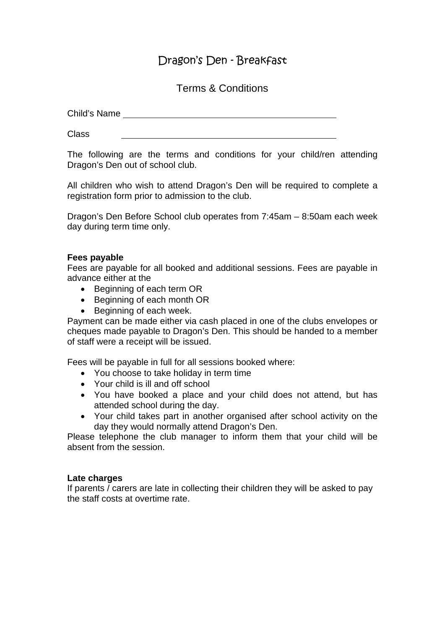# Dragon's Den - Breakfast

Terms & Conditions

Child's Name

Class

The following are the terms and conditions for your child/ren attending Dragon's Den out of school club.

All children who wish to attend Dragon's Den will be required to complete a registration form prior to admission to the club.

Dragon's Den Before School club operates from 7:45am – 8:50am each week day during term time only.

## **Fees payable**

Fees are payable for all booked and additional sessions. Fees are payable in advance either at the

- Beginning of each term OR
- Beginning of each month OR
- Beginning of each week.

Payment can be made either via cash placed in one of the clubs envelopes or cheques made payable to Dragon's Den. This should be handed to a member of staff were a receipt will be issued.

Fees will be payable in full for all sessions booked where:

- You choose to take holiday in term time
- Your child is ill and off school
- You have booked a place and your child does not attend, but has attended school during the day.
- Your child takes part in another organised after school activity on the day they would normally attend Dragon's Den.

Please telephone the club manager to inform them that your child will be absent from the session.

#### **Late charges**

If parents / carers are late in collecting their children they will be asked to pay the staff costs at overtime rate.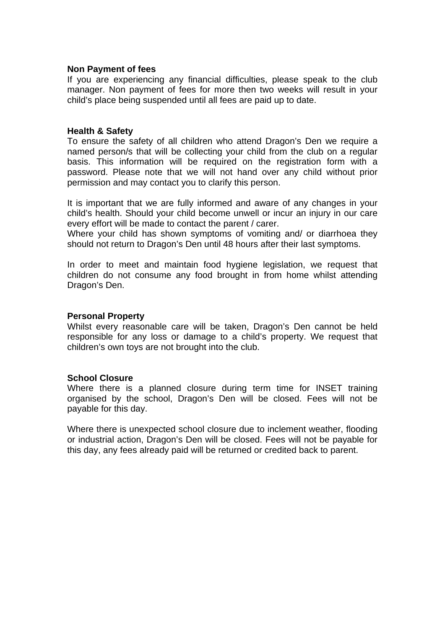#### **Non Payment of fees**

If you are experiencing any financial difficulties, please speak to the club manager. Non payment of fees for more then two weeks will result in your child's place being suspended until all fees are paid up to date.

#### **Health & Safety**

To ensure the safety of all children who attend Dragon's Den we require a named person/s that will be collecting your child from the club on a regular basis. This information will be required on the registration form with a password. Please note that we will not hand over any child without prior permission and may contact you to clarify this person.

It is important that we are fully informed and aware of any changes in your child's health. Should your child become unwell or incur an injury in our care every effort will be made to contact the parent / carer.

Where your child has shown symptoms of vomiting and/ or diarrhoea they should not return to Dragon's Den until 48 hours after their last symptoms.

In order to meet and maintain food hygiene legislation, we request that children do not consume any food brought in from home whilst attending Dragon's Den.

#### **Personal Property**

Whilst every reasonable care will be taken, Dragon's Den cannot be held responsible for any loss or damage to a child's property. We request that children's own toys are not brought into the club.

#### **School Closure**

Where there is a planned closure during term time for INSET training organised by the school, Dragon's Den will be closed. Fees will not be payable for this day.

Where there is unexpected school closure due to inclement weather, flooding or industrial action, Dragon's Den will be closed. Fees will not be payable for this day, any fees already paid will be returned or credited back to parent.